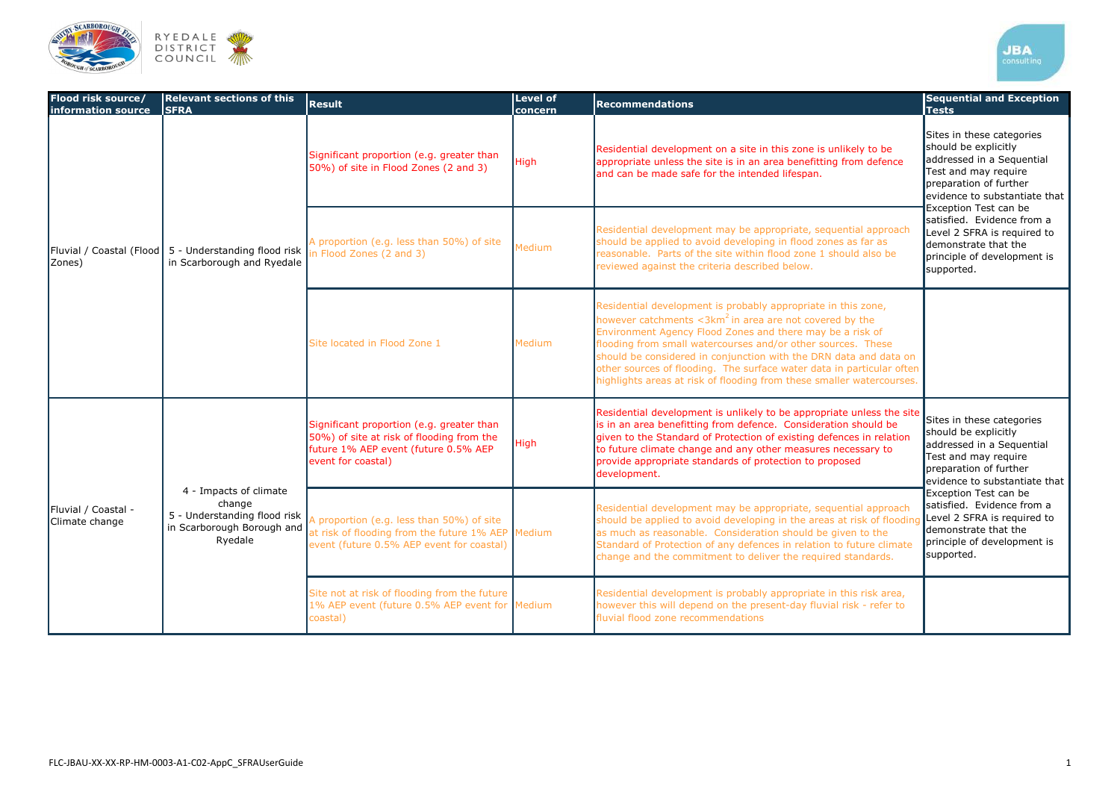

| Flood risk source/<br>information source | <b>Relevant sections of this</b><br><b>SFRA</b>                                                                            | <b>Result</b>                                                                                                                                                              | <b>Level of</b><br>concern | <b>Recommendations</b>                                                                                                                                                                                                                                                                                                                                                                                                                                                                 | <b>Sequential and Exception</b><br><b>Tests</b>                                                                                                                   |  |
|------------------------------------------|----------------------------------------------------------------------------------------------------------------------------|----------------------------------------------------------------------------------------------------------------------------------------------------------------------------|----------------------------|----------------------------------------------------------------------------------------------------------------------------------------------------------------------------------------------------------------------------------------------------------------------------------------------------------------------------------------------------------------------------------------------------------------------------------------------------------------------------------------|-------------------------------------------------------------------------------------------------------------------------------------------------------------------|--|
| Zones)                                   | Fluvial / Coastal (Flood 5 - Understanding flood risk $\lim_{h \to 0}$ Flood Zones (2 and 3)<br>in Scarborough and Ryedale | Significant proportion (e.g. greater than<br>50%) of site in Flood Zones (2 and 3)                                                                                         | High                       | Residential development on a site in this zone is unlikely to be<br>appropriate unless the site is in an area benefitting from defence<br>and can be made safe for the intended lifespan.                                                                                                                                                                                                                                                                                              | Sites in these categories<br>should be explicitly<br>addressed in a Sequential<br>Test and may require<br>preparation of further<br>evidence to substantiate that |  |
|                                          |                                                                                                                            | A proportion (e.g. less than 50%) of site                                                                                                                                  | Medium                     | Residential development may be appropriate, sequential approach<br>should be applied to avoid developing in flood zones as far as<br>reasonable. Parts of the site within flood zone 1 should also be<br>reviewed against the criteria described below.                                                                                                                                                                                                                                | Exception Test can be<br>satisfied. Evidence from a<br>Level 2 SFRA is required to<br>demonstrate that the<br>principle of development is<br>supported.           |  |
|                                          |                                                                                                                            | Site located in Flood Zone 1                                                                                                                                               | Medium                     | Residential development is probably appropriate in this zone,<br>however catchments $\langle 3km^2$ in area are not covered by the<br>Environment Agency Flood Zones and there may be a risk of<br>flooding from small watercourses and/or other sources. These<br>should be considered in conjunction with the DRN data and data on<br>other sources of flooding. The surface water data in particular often<br>highlights areas at risk of flooding from these smaller watercourses. |                                                                                                                                                                   |  |
| Fluvial / Coastal -<br>Climate change    | 4 - Impacts of climate<br>change<br>in Scarborough Borough and<br>Ryedale                                                  | Significant proportion (e.g. greater than<br>50%) of site at risk of flooding from the<br>future 1% AEP event (future 0.5% AEP<br>event for coastal)                       | High                       | Residential development is unlikely to be appropriate unless the site<br>is in an area benefitting from defence. Consideration should be<br>given to the Standard of Protection of existing defences in relation<br>to future climate change and any other measures necessary to<br>provide appropriate standards of protection to proposed<br>development.                                                                                                                            | Sites in these categories<br>should be explicitly<br>addressed in a Sequential<br>Test and may require<br>preparation of further<br>evidence to substantiate that |  |
|                                          |                                                                                                                            | 5 - Understanding flood risk $A$ proportion (e.g. less than 50%) of site<br>at risk of flooding from the future 1% AEP Medium<br>event (future 0.5% AEP event for coastal) |                            | Residential development may be appropriate, sequential approach<br>should be applied to avoid developing in the areas at risk of flooding<br>as much as reasonable. Consideration should be given to the<br>Standard of Protection of any defences in relation to future climate<br>change and the commitment to deliver the required standards.                                                                                                                                       | Exception Test can be<br>satisfied. Evidence from a<br>Level 2 SFRA is required to<br>demonstrate that the<br>principle of development is<br>supported.           |  |
|                                          |                                                                                                                            | Site not at risk of flooding from the future<br>1% AEP event (future 0.5% AEP event for Medium<br>coastal)                                                                 |                            | Residential development is probably appropriate in this risk area,<br>however this will depend on the present-day fluvial risk - refer to<br>fluvial flood zone recommendations                                                                                                                                                                                                                                                                                                        |                                                                                                                                                                   |  |

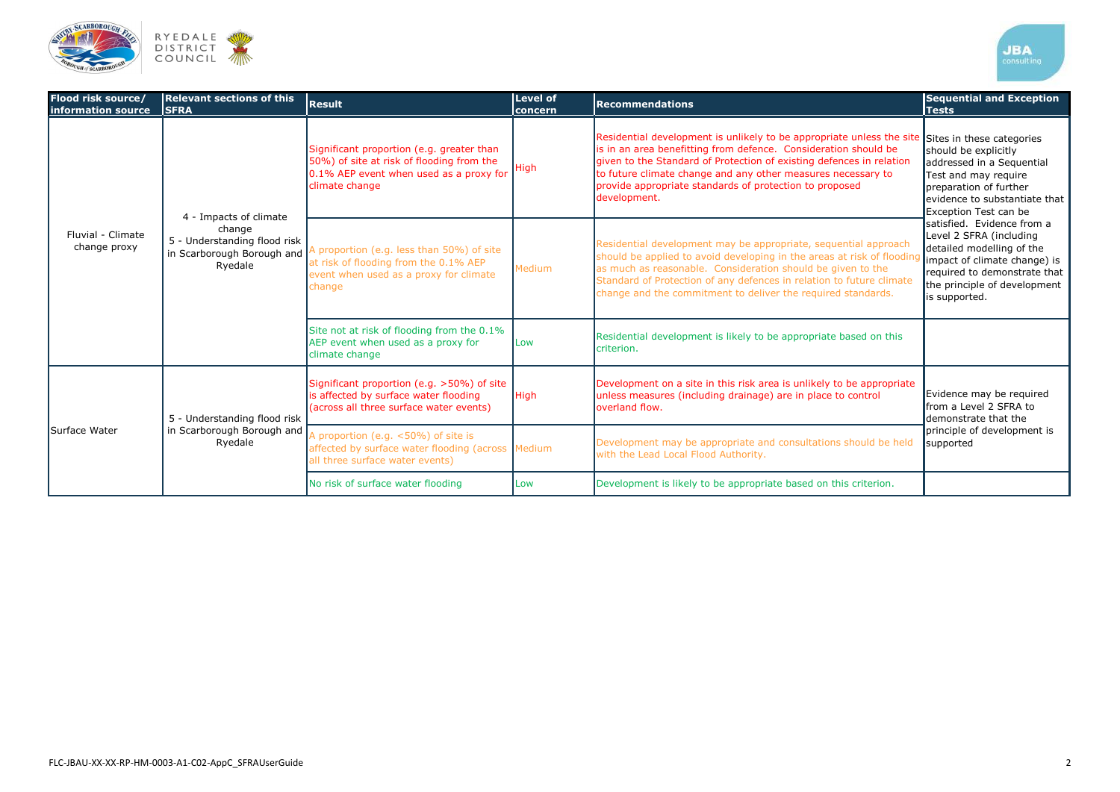

| Flood risk source/<br>information source | <b>Relevant sections of this</b><br><b>SFRA</b>                                                           | <b>Result</b>                                                                                                                                       | Level of<br>concern | <b>Recommendations</b>                                                                                                                                                                                                                                                                                                                                      | <b>Sequential and Exception</b><br><b>Tests</b>                                                                                                                                                                                                                                                                                                                                                   |
|------------------------------------------|-----------------------------------------------------------------------------------------------------------|-----------------------------------------------------------------------------------------------------------------------------------------------------|---------------------|-------------------------------------------------------------------------------------------------------------------------------------------------------------------------------------------------------------------------------------------------------------------------------------------------------------------------------------------------------------|---------------------------------------------------------------------------------------------------------------------------------------------------------------------------------------------------------------------------------------------------------------------------------------------------------------------------------------------------------------------------------------------------|
| Fluvial - Climate<br>change proxy        | 4 - Impacts of climate<br>change<br>5 - Understanding flood risk<br>in Scarborough Borough and<br>Ryedale | Significant proportion (e.g. greater than<br>50%) of site at risk of flooding from the<br>0.1% AEP event when used as a proxy for<br>climate change | High                | Residential development is unlikely to be appropriate unless the site<br>is in an area benefitting from defence. Consideration should be<br>given to the Standard of Protection of existing defences in relation<br>to future climate change and any other measures necessary to<br>provide appropriate standards of protection to proposed<br>development. | Sites in these categories<br>should be explicitly<br>addressed in a Sequential<br>Test and may require<br>preparation of further<br>evidence to substantiate that<br>Exception Test can be<br>satisfied. Evidence from a<br>Level 2 SFRA (including<br>detailed modelling of the<br>impact of climate change) is<br>required to demonstrate that<br>the principle of development<br>is supported. |
|                                          |                                                                                                           | A proportion (e.g. less than 50%) of site<br>at risk of flooding from the 0.1% AEP<br>event when used as a proxy for climate<br>change              | Medium              | Residential development may be appropriate, sequential approach<br>should be applied to avoid developing in the areas at risk of flooding<br>as much as reasonable. Consideration should be given to the<br>Standard of Protection of any defences in relation to future climate<br>change and the commitment to deliver the required standards.            |                                                                                                                                                                                                                                                                                                                                                                                                   |
|                                          |                                                                                                           | Site not at risk of flooding from the 0.1%<br>AEP event when used as a proxy for<br>climate change                                                  | Low                 | Residential development is likely to be appropriate based on this<br>criterion.                                                                                                                                                                                                                                                                             |                                                                                                                                                                                                                                                                                                                                                                                                   |
| Surface Water                            | 5 - Understanding flood risk<br>in Scarborough Borough and<br>Ryedale                                     | Significant proportion (e.g. >50%) of site<br>is affected by surface water flooding<br>(across all three surface water events)                      | <b>High</b>         | Development on a site in this risk area is unlikely to be appropriate<br>unless measures (including drainage) are in place to control<br>loverland flow.                                                                                                                                                                                                    | Evidence may be required<br>from a Level 2 SFRA to<br>demonstrate that the<br>principle of development is<br>supported                                                                                                                                                                                                                                                                            |
|                                          |                                                                                                           | A proportion (e.g. <50%) of site is<br>affected by surface water flooding (across Medium<br>all three surface water events)                         |                     | Development may be appropriate and consultations should be held<br>with the Lead Local Flood Authority.                                                                                                                                                                                                                                                     |                                                                                                                                                                                                                                                                                                                                                                                                   |
|                                          |                                                                                                           | No risk of surface water flooding                                                                                                                   | Low                 | Development is likely to be appropriate based on this criterion.                                                                                                                                                                                                                                                                                            |                                                                                                                                                                                                                                                                                                                                                                                                   |

| consulting |  |
|------------|--|
|            |  |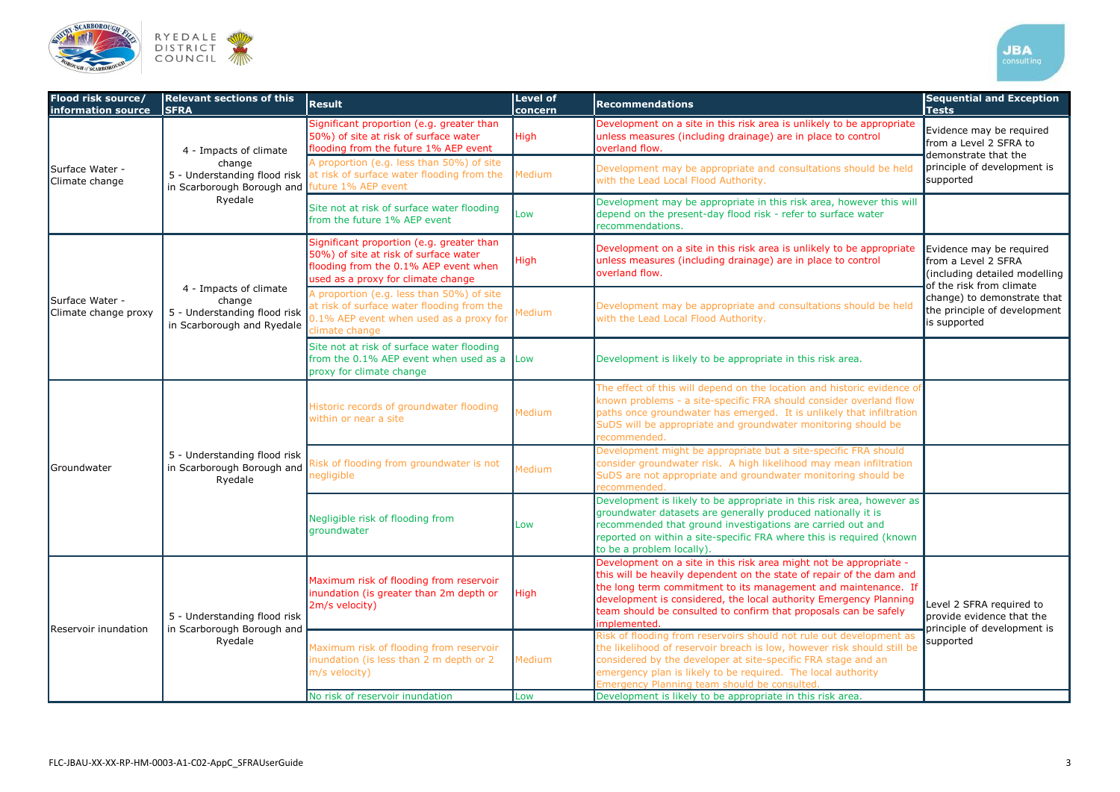

| Flood risk source/<br>information source | <b>Relevant sections of this</b><br><b>SFRA</b>                                                | <b>Result</b>                                                                                                                                                     | <b>Level of</b><br>concern | <b>Recommendations</b>                                                                                                                                                                                                                                                                                                                                                | <b>Sequential and Exception</b><br><b>Tests</b>                                                                                                                                             |  |
|------------------------------------------|------------------------------------------------------------------------------------------------|-------------------------------------------------------------------------------------------------------------------------------------------------------------------|----------------------------|-----------------------------------------------------------------------------------------------------------------------------------------------------------------------------------------------------------------------------------------------------------------------------------------------------------------------------------------------------------------------|---------------------------------------------------------------------------------------------------------------------------------------------------------------------------------------------|--|
| Surface Water -<br>Climate change        | 4 - Impacts of climate<br>change<br>in Scarborough Borough and future 1% AEP event<br>Ryedale  | Significant proportion (e.g. greater than<br>50%) of site at risk of surface water<br>flooding from the future 1% AEP event                                       | <b>High</b>                | Development on a site in this risk area is unlikely to be appropriate<br>unless measures (including drainage) are in place to control<br>overland flow.                                                                                                                                                                                                               | Evidence may be required<br>from a Level 2 SFRA to<br>demonstrate that the                                                                                                                  |  |
|                                          |                                                                                                | A proportion (e.g. less than 50%) of site<br>5 - Understanding flood risk at risk of surface water flooding from the                                              | Medium                     | Development may be appropriate and consultations should be held<br>with the Lead Local Flood Authority.                                                                                                                                                                                                                                                               | principle of development is<br>supported                                                                                                                                                    |  |
|                                          |                                                                                                | Site not at risk of surface water flooding<br>from the future 1% AEP event                                                                                        | Low                        | Development may be appropriate in this risk area, however this will<br>depend on the present-day flood risk - refer to surface water<br>recommendations.                                                                                                                                                                                                              |                                                                                                                                                                                             |  |
| Surface Water -<br>Climate change proxy  | 4 - Impacts of climate<br>change<br>5 - Understanding flood risk<br>in Scarborough and Ryedale | Significant proportion (e.g. greater than<br>50%) of site at risk of surface water<br>flooding from the 0.1% AEP event when<br>used as a proxy for climate change | <b>High</b>                | Development on a site in this risk area is unlikely to be appropriate<br>unless measures (including drainage) are in place to control<br>overland flow.                                                                                                                                                                                                               | Evidence may be required<br>from a Level 2 SFRA<br>(including detailed modelling<br>of the risk from climate<br>change) to demonstrate that<br>the principle of development<br>is supported |  |
|                                          |                                                                                                | A proportion (e.g. less than 50%) of site<br>at risk of surface water flooding from the<br>0.1% AEP event when used as a proxy for<br>climate change              | Medium                     | Development may be appropriate and consultations should be held<br>with the Lead Local Flood Authority.                                                                                                                                                                                                                                                               |                                                                                                                                                                                             |  |
|                                          |                                                                                                | Site not at risk of surface water flooding<br>from the 0.1% AEP event when used as a Low<br>proxy for climate change                                              |                            | Development is likely to be appropriate in this risk area.                                                                                                                                                                                                                                                                                                            |                                                                                                                                                                                             |  |
| <b>Groundwater</b>                       | 5 - Understanding flood risk<br>in Scarborough Borough and<br>Ryedale                          | Historic records of groundwater flooding<br>within or near a site                                                                                                 | Medium                     | The effect of this will depend on the location and historic evidence of<br>known problems - a site-specific FRA should consider overland flow<br>paths once groundwater has emerged. It is unlikely that infiltration<br>SuDS will be appropriate and groundwater monitoring should be<br>recommended.                                                                |                                                                                                                                                                                             |  |
|                                          |                                                                                                | Risk of flooding from groundwater is not<br>negligible                                                                                                            | Medium                     | Development might be appropriate but a site-specific FRA should<br>consider groundwater risk. A high likelihood may mean infiltration<br>SuDS are not appropriate and groundwater monitoring should be<br>recommended.                                                                                                                                                |                                                                                                                                                                                             |  |
|                                          |                                                                                                | Negligible risk of flooding from<br>groundwater                                                                                                                   | Low                        | Development is likely to be appropriate in this risk area, however as<br>groundwater datasets are generally produced nationally it is<br>recommended that ground investigations are carried out and<br>reported on within a site-specific FRA where this is required (known<br>to be a problem locally).                                                              |                                                                                                                                                                                             |  |
| Reservoir inundation                     | 5 - Understanding flood risk<br>in Scarborough Borough and<br>Ryedale                          | Maximum risk of flooding from reservoir<br>inundation (is greater than 2m depth or<br>2m/s velocity)                                                              | <b>High</b>                | Development on a site in this risk area might not be appropriate -<br>this will be heavily dependent on the state of repair of the dam and<br>the long term commitment to its management and maintenance. If<br>development is considered, the local authority Emergency Planning<br>team should be consulted to confirm that proposals can be safely<br>implemented. | Level 2 SFRA required to<br>provide evidence that the<br>principle of development is                                                                                                        |  |
|                                          |                                                                                                | Maximum risk of flooding from reservoir<br>inundation (is less than 2 m depth or 2<br>m/s velocity)                                                               | Medium                     | Risk of flooding from reservoirs should not rule out development as<br>the likelihood of reservoir breach is low, however risk should still be<br>considered by the developer at site-specific FRA stage and an<br>emergency plan is likely to be required. The local authority<br>Emergency Planning team should be consulted.                                       | supported                                                                                                                                                                                   |  |
|                                          |                                                                                                | No risk of reservoir inundation                                                                                                                                   | Low                        | Development is likely to be appropriate in this risk area.                                                                                                                                                                                                                                                                                                            |                                                                                                                                                                                             |  |

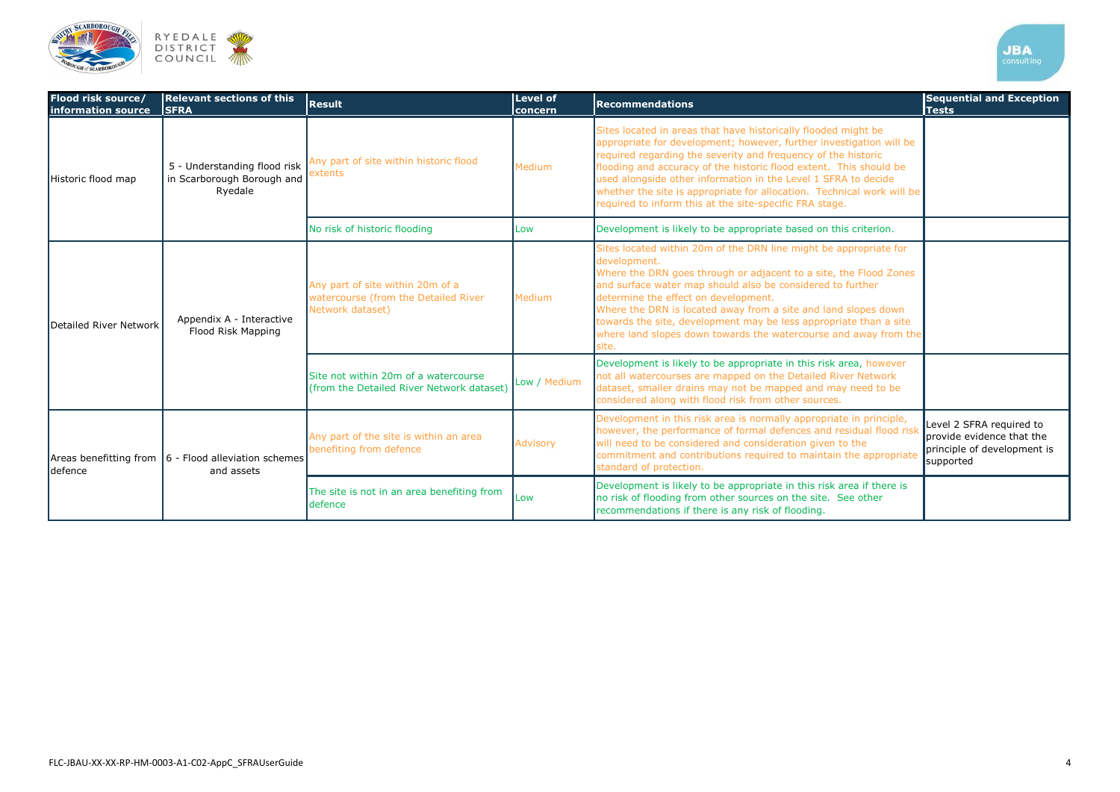

| Flood risk source/<br>information source | <b>Relevant sections of this</b><br><b>SFRA</b>                            | <b>Result</b>                                                                                | <b>Level of</b><br>concern | <b>Recommendations</b>                                                                                                                                                                                                                                                                                                                                                                                                                                                              | <b>Sequential and Exception</b><br><b>Tests</b>                                                   |
|------------------------------------------|----------------------------------------------------------------------------|----------------------------------------------------------------------------------------------|----------------------------|-------------------------------------------------------------------------------------------------------------------------------------------------------------------------------------------------------------------------------------------------------------------------------------------------------------------------------------------------------------------------------------------------------------------------------------------------------------------------------------|---------------------------------------------------------------------------------------------------|
| Historic flood map                       | 5 - Understanding flood risk<br>in Scarborough Borough and<br>Ryedale      | Any part of site within historic flood<br>extents                                            | Medium                     | Sites located in areas that have historically flooded might be<br>appropriate for development; however, further investigation will be<br>required regarding the severity and frequency of the historic<br>flooding and accuracy of the historic flood extent. This should be<br>used alongside other information in the Level 1 SFRA to decide<br>whether the site is appropriate for allocation. Technical work will be<br>required to inform this at the site-specific FRA stage. |                                                                                                   |
|                                          |                                                                            | No risk of historic flooding                                                                 | Low                        | Development is likely to be appropriate based on this criterion.                                                                                                                                                                                                                                                                                                                                                                                                                    |                                                                                                   |
| Detailed River Network                   | Appendix A - Interactive<br>Flood Risk Mapping                             | Any part of site within 20m of a<br>watercourse (from the Detailed River<br>Network dataset) | Medium                     | Sites located within 20m of the DRN line might be appropriate for<br>development.<br>Where the DRN goes through or adjacent to a site, the Flood Zones<br>and surface water map should also be considered to further<br>determine the effect on development.<br>Where the DRN is located away from a site and land slopes down<br>towards the site, development may be less appropriate than a site<br>where land slopes down towards the watercourse and away from the<br>site.    |                                                                                                   |
|                                          |                                                                            | Site not within 20m of a watercourse<br>(from the Detailed River Network dataset)            | Low / Medium               | Development is likely to be appropriate in this risk area, however<br>not all watercourses are mapped on the Detailed River Network<br>dataset, smaller drains may not be mapped and may need to be<br>considered along with flood risk from other sources.                                                                                                                                                                                                                         |                                                                                                   |
| defence                                  | Areas benefitting from $\vert 6$ - Flood alleviation schemes<br>and assets | Any part of the site is within an area<br>benefiting from defence                            | <b>Advisory</b>            | Development in this risk area is normally appropriate in principle,<br>however, the performance of formal defences and residual flood risk<br>will need to be considered and consideration given to the<br>commitment and contributions required to maintain the appropriate<br>standard of protection.                                                                                                                                                                             | Level 2 SFRA required to<br>provide evidence that the<br>principle of development is<br>supported |
|                                          |                                                                            | The site is not in an area benefiting from<br>defence                                        | Low                        | Development is likely to be appropriate in this risk area if there is<br>no risk of flooding from other sources on the site. See other<br>recommendations if there is any risk of flooding.                                                                                                                                                                                                                                                                                         |                                                                                                   |